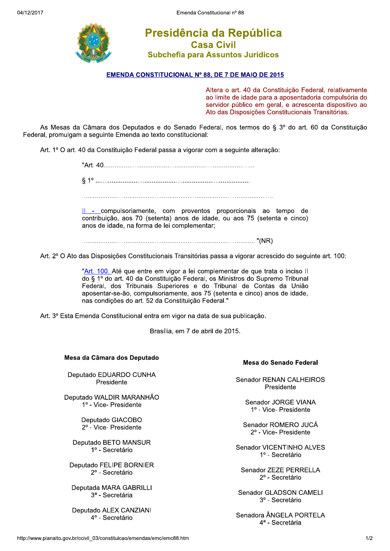

Presidência da República **Casa Civil** Subchefia para Assuntos Jurídicos

## **EMENDA CONSTITUCIONAL Nº 88, DE 7 DE MAIO DE 2015**

Altera o art. 40 da Constituição Federal, relativamente ao limite de idade para a aposentadoria compulsória do servidor público em geral, e acrescenta dispositivo ao Ato das Disposições Constitucionais Transitórias.

As Mesas da Câmara dos Deputados e do Senado Federal, nos termos do § 3º do art. 60 da Constituição Federal, promulgam a sequinte Emenda ao texto constitucional:

Art. 1º O art. 40 da Constituição Federal passa a vigorar com a seguinte alteração:

II - compulsoriamente, com proventos proporcionais ao tempo de contribuição, aos 70 (setenta) anos de idade, ou aos 75 (setenta e cinco) anos de idade, na forma de lei complementar;

Art. 2º O Ato das Disposições Constitucionais Transitórias passa a vigorar acrescido do seguinte art. 100:

"Art. 100. Até que entre em vigor a lei complementar de que trata o inciso II do § 1º do art. 40 da Constituição Federal, os Ministros do Supremo Tribunal Federal, dos Tribunais Superiores e do Tribunal de Contas da União aposentar-se-ão, compulsoriamente, aos 75 (setenta e cinco) anos de idade, nas condições do art. 52 da Constituição Federal."

Art. 3º Esta Emenda Constitucional entra em vigor na data de sua publicação.

Brasília, em 7 de abril de 2015.

## Mesa da Câmara dos Deputado

Deputado EDUARDO CUNHA Presidente

Deputado WALDIR MARANHÃO 1º - Vice- Presidente

> Deputado GIACOBO 2º - Vice- Presidente

Deputado BETO MANSUR 1º - Secretário

Deputado FELIPE BORNIER 2º - Secretário

Deputada MARA GABRILLI 3<sup>ª</sup> - Secretária

Deputado ALEX CANZIANI 4º - Secretário

## Mesa do Senado Federal

**Senador RENAN CALHEIROS** Presidente

> Senador JORGE VIANA 1º - Vice- Presidente

Senador ROMERO JUCÁ 2º - Vice- Presidente

Senador VICENTINHO ALVES 1º - Secretário

Senador ZEZE PERRELLA 2º - Secretário

Senador GLADSON CAMELI 3º - Secretário

Senadora ÂNGELA PORTELA 4<sup>ª</sup> - Secretária

http://www.planalto.gov.br/ccivil\_03/constituicao/emendas/emc/emc88.htm